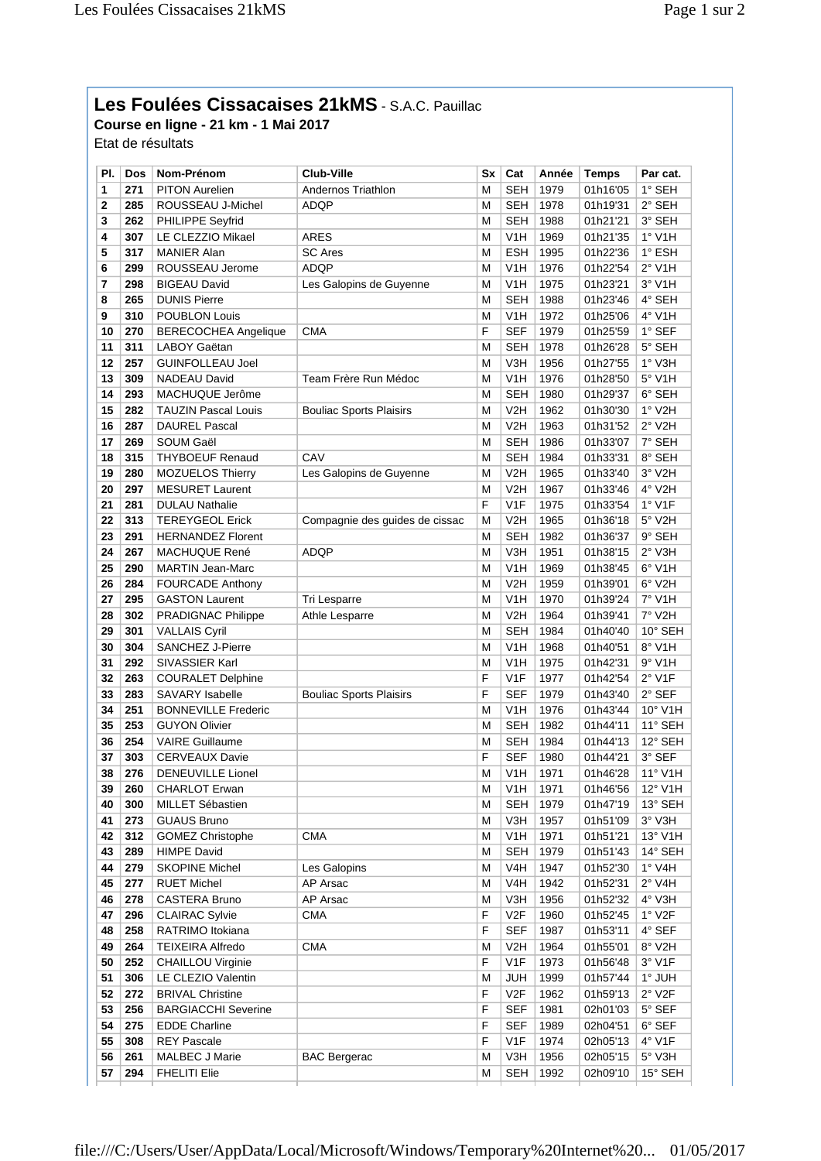## **Les Foulées Cissacaises 21kMS** - S.A.C. Pauillac

**Course en ligne - 21 km - 1 Mai 2017** Etat de résultats

| PI. | Dos | Nom-Prénom                  | Club-Ville                     | Sx          | Cat              | Année | <b>Temps</b> | Par cat.         |
|-----|-----|-----------------------------|--------------------------------|-------------|------------------|-------|--------------|------------------|
| 1   | 271 | <b>PITON Aurelien</b>       | Andernos Triathlon             | М           | <b>SEH</b>       | 1979  | 01h16'05     | 1° SEH           |
| 2   | 285 | ROUSSEAU J-Michel           | <b>ADQP</b>                    | M           | <b>SEH</b>       | 1978  | 01h19'31     | 2° SEH           |
| 3   | 262 | PHILIPPE Seyfrid            |                                | M           | <b>SEH</b>       | 1988  | 01h21'21     | 3° SEH           |
| 4   | 307 | LE CLEZZIO Mikael           | ARES                           | M           | V1H              | 1969  | 01h21'35     | $1°$ V1H         |
| 5   | 317 | <b>MANIER Alan</b>          | <b>SC Ares</b>                 | M           | <b>ESH</b>       | 1995  | 01h22'36     | 1° ESH           |
| 6   | 299 | ROUSSEAU Jerome             | <b>ADQP</b>                    | M           | V1H              | 1976  | 01h22'54     | $2°$ V1H         |
| 7   | 298 | <b>BIGEAU David</b>         | Les Galopins de Guyenne        | M           | V1H              | 1975  | 01h23'21     | $3°$ V1H         |
| 8   | 265 | <b>DUNIS Pierre</b>         |                                | M           | <b>SEH</b>       | 1988  | 01h23'46     | 4° SEH           |
| 9   | 310 | POUBLON Louis               |                                | M           | V <sub>1</sub> H | 1972  | 01h25'06     | 4° V1H           |
| 10  | 270 | <b>BERECOCHEA Angelique</b> | CMA                            | F           | <b>SEF</b>       | 1979  | 01h25'59     | 1° SEF           |
| 11  | 311 | LABOY Gaëtan                |                                | M           | <b>SEH</b>       | 1978  | 01h26'28     | 5° SEH           |
| 12  | 257 | <b>GUINFOLLEAU Joel</b>     |                                | M           | V3H              | 1956  | 01h27'55     | 1° V3H           |
| 13  | 309 | NADEAU David                | Team Frère Run Médoc           | M           | V1H              | 1976  | 01h28'50     | 5° V1H           |
| 14  | 293 | MACHUQUE Jerôme             |                                | M           | <b>SEH</b>       | 1980  | 01h29'37     | 6° SEH           |
| 15  | 282 | <b>TAUZIN Pascal Louis</b>  | <b>Bouliac Sports Plaisirs</b> | M           | V2H              | 1962  | 01h30'30     | $1°$ V2H         |
| 16  | 287 | <b>DAUREL Pascal</b>        |                                | M           | V2H              | 1963  | 01h31'52     | $2°$ V2H         |
| 17  | 269 | SOUM Gaël                   |                                | M           | <b>SEH</b>       | 1986  | 01h33'07     | 7° SEH           |
| 18  | 315 | <b>THYBOEUF Renaud</b>      | CAV                            | M           | <b>SEH</b>       | 1984  | 01h33'31     | 8° SEH           |
| 19  | 280 | <b>MOZUELOS Thierry</b>     | Les Galopins de Guyenne        | М           | V <sub>2</sub> H | 1965  | 01h33'40     | 3° V2H           |
| 20  | 297 | <b>MESURET Laurent</b>      |                                | М           | V2H              | 1967  | 01h33'46     | 4° V2H           |
| 21  | 281 | <b>DULAU Nathalie</b>       |                                | F           | V <sub>1F</sub>  | 1975  | 01h33'54     | $1°$ V1F         |
| 22  | 313 | <b>TEREYGEOL Erick</b>      | Compagnie des guides de cissac | M           | V <sub>2</sub> H | 1965  | 01h36'18     | 5° V2H           |
| 23  | 291 | <b>HERNANDEZ Florent</b>    |                                | M           | <b>SEH</b>       | 1982  | 01h36'37     | $9°$ SEH         |
| 24  | 267 | <b>MACHUQUE René</b>        | ADQP                           | M           | V3H              | 1951  | 01h38'15     | 2° V3H           |
| 25  | 290 | <b>MARTIN Jean-Marc</b>     |                                | M           | V1H              | 1969  | 01h38'45     | 6° V1H           |
| 26  | 284 | <b>FOURCADE Anthony</b>     |                                | M           | V2H              | 1959  | 01h39'01     | $6°$ V2H         |
| 27  | 295 | <b>GASTON Laurent</b>       | Tri Lesparre                   | M           | V1H              | 1970  | 01h39'24     | 7° V1H           |
| 28  | 302 | <b>PRADIGNAC Philippe</b>   | Athle Lesparre                 | M           | V2H              | 1964  | 01h39'41     | 7° V2H           |
| 29  | 301 | <b>VALLAIS Cyril</b>        |                                | M           | <b>SEH</b>       | 1984  | 01h40'40     | $10^\circ$ SEH   |
| 30  | 304 | <b>SANCHEZ J-Pierre</b>     |                                | M           | V <sub>1</sub> H | 1968  | 01h40'51     | 8° V1H           |
| 31  | 292 | SIVASSIER Karl              |                                | M           | V1H              | 1975  | 01h42'31     | $9^{\circ}$ V1H  |
| 32  | 263 | <b>COURALET Delphine</b>    |                                | F           | V <sub>1F</sub>  | 1977  | 01h42'54     | $2°$ V1F         |
| 33  | 283 | <b>SAVARY Isabelle</b>      | <b>Bouliac Sports Plaisirs</b> | $\mathsf F$ | <b>SEF</b>       | 1979  | 01h43'40     | 2° SEF           |
| 34  | 251 | <b>BONNEVILLE Frederic</b>  |                                | M           | V <sub>1</sub> H | 1976  | 01h43'44     | 10° V1H          |
| 35  | 253 | <b>GUYON Olivier</b>        |                                | M           | <b>SEH</b>       | 1982  | 01h44'11     | 11° SEH          |
| 36  | 254 | <b>VAIRE Guillaume</b>      |                                | M           | <b>SEH</b>       | 1984  | 01h44'13     | 12° SEH          |
| 37  | 303 | <b>CERVEAUX Davie</b>       |                                | F           | <b>SEF</b>       | 1980  | 01h44'21     | 3° SEF           |
| 38  | 276 | DENEUVILLE Lionel           |                                | M           | V1H              | 1971  | 01h46'28     | $11^{\circ}$ V1H |
| 39  | 260 | <b>CHARLOT Erwan</b>        |                                | M           | V1H              | 1971  | 01h46'56     | $12^{\circ}$ V1H |
| 40  | 300 | MILLET Sébastien            |                                | М           | <b>SEH</b>       | 1979  | 01h47'19     | 13° SEH          |
| 41  | 273 | <b>GUAUS Bruno</b>          |                                | M           | V3H              | 1957  | 01h51'09     | $3°$ V3H         |
| 42  | 312 | <b>GOMEZ Christophe</b>     | СМА                            | M           | V <sub>1</sub> H | 1971  | 01h51'21     | 13° V1H          |
| 43  | 289 | <b>HIMPE David</b>          |                                | М           | <b>SEH</b>       | 1979  | 01h51'43     | 14° SEH          |
| 44  | 279 | <b>SKOPINE Michel</b>       | Les Galopins                   | М           | V <sub>4</sub> H | 1947  | 01h52'30     | 1° V4H           |
| 45  | 277 | <b>RUET Michel</b>          | AP Arsac                       | M           | V <sub>4</sub> H | 1942  | 01h52'31     | $2°$ V4H         |
| 46  | 278 | <b>CASTERA Bruno</b>        | AP Arsac                       | м           | V3H              | 1956  | 01h52'32     | 4° V3H           |
| 47  | 296 | <b>CLAIRAC Sylvie</b>       | <b>CMA</b>                     | F           | V2F              | 1960  | 01h52'45     | 1° V2F           |
| 48  | 258 | RATRIMO Itokiana            |                                | F           | <b>SEF</b>       | 1987  | 01h53'11     | 4° SEF           |
| 49  | 264 | <b>TEIXEIRA Alfredo</b>     | <b>CMA</b>                     | M           | V <sub>2</sub> H | 1964  | 01h55'01     | 8° V2H           |
| 50  | 252 | <b>CHAILLOU Virginie</b>    |                                | F           | V1F              | 1973  | 01h56'48     | 3° V1F           |
| 51  | 306 | LE CLEZIO Valentin          |                                | M           | <b>JUH</b>       | 1999  | 01h57'44     | 1° JUH           |
| 52  | 272 | <b>BRIVAL Christine</b>     |                                | $\mathsf F$ | V2F              | 1962  | 01h59'13     | $2^{\circ}$ V2F  |
| 53  | 256 | <b>BARGIACCHI Severine</b>  |                                | F           | <b>SEF</b>       | 1981  | 02h01'03     | $5^{\circ}$ SEF  |
| 54  | 275 | <b>EDDE Charline</b>        |                                | F           | <b>SEF</b>       | 1989  | 02h04'51     | $6^\circ$ SEF    |
| 55  | 308 | <b>REY Pascale</b>          |                                | $\mathsf F$ | V1F              | 1974  | 02h05'13     | $4°$ V1F         |
| 56  | 261 | MALBEC J Marie              | <b>BAC Bergerac</b>            | М           | V3H              | 1956  | 02h05'15     | 5° V3H           |
| 57  | 294 | <b>FHELITI Elie</b>         |                                | М           | <b>SEH</b>       | 1992  | 02h09'10     | 15° SEH          |